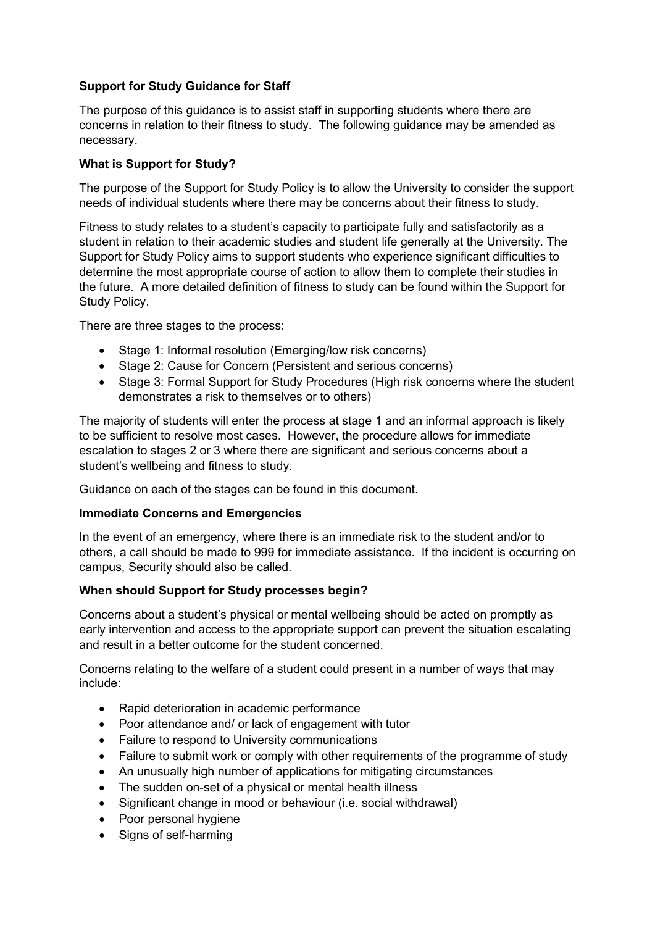# **Support for Study Guidance for Staff**

The purpose of this guidance is to assist staff in supporting students where there are concerns in relation to their fitness to study. The following guidance may be amended as necessary.

#### **What is Support for Study?**

The purpose of the Support for Study Policy is to allow the University to consider the support needs of individual students where there may be concerns about their fitness to study.

Fitness to study relates to a student's capacity to participate fully and satisfactorily as a student in relation to their academic studies and student life generally at the University. The Support for Study Policy aims to support students who experience significant difficulties to determine the most appropriate course of action to allow them to complete their studies in the future. A more detailed definition of fitness to study can be found within the Support for Study Policy.

There are three stages to the process:

- Stage 1: Informal resolution (Emerging/low risk concerns)
- Stage 2: Cause for Concern (Persistent and serious concerns)
- Stage 3: Formal Support for Study Procedures (High risk concerns where the student demonstrates a risk to themselves or to others)

The majority of students will enter the process at stage 1 and an informal approach is likely to be sufficient to resolve most cases. However, the procedure allows for immediate escalation to stages 2 or 3 where there are significant and serious concerns about a student's wellbeing and fitness to study.

Guidance on each of the stages can be found in this document.

#### **Immediate Concerns and Emergencies**

In the event of an emergency, where there is an immediate risk to the student and/or to others, a call should be made to 999 for immediate assistance. If the incident is occurring on campus, Security should also be called.

# **When should Support for Study processes begin?**

Concerns about a student's physical or mental wellbeing should be acted on promptly as early intervention and access to the appropriate support can prevent the situation escalating and result in a better outcome for the student concerned.

Concerns relating to the welfare of a student could present in a number of ways that may include:

- Rapid deterioration in academic performance
- Poor attendance and/ or lack of engagement with tutor
- Failure to respond to University communications
- Failure to submit work or comply with other requirements of the programme of study
- An unusually high number of applications for mitigating circumstances
- The sudden on-set of a physical or mental health illness
- Significant change in mood or behaviour (i.e. social withdrawal)
- Poor personal hygiene
- Signs of self-harming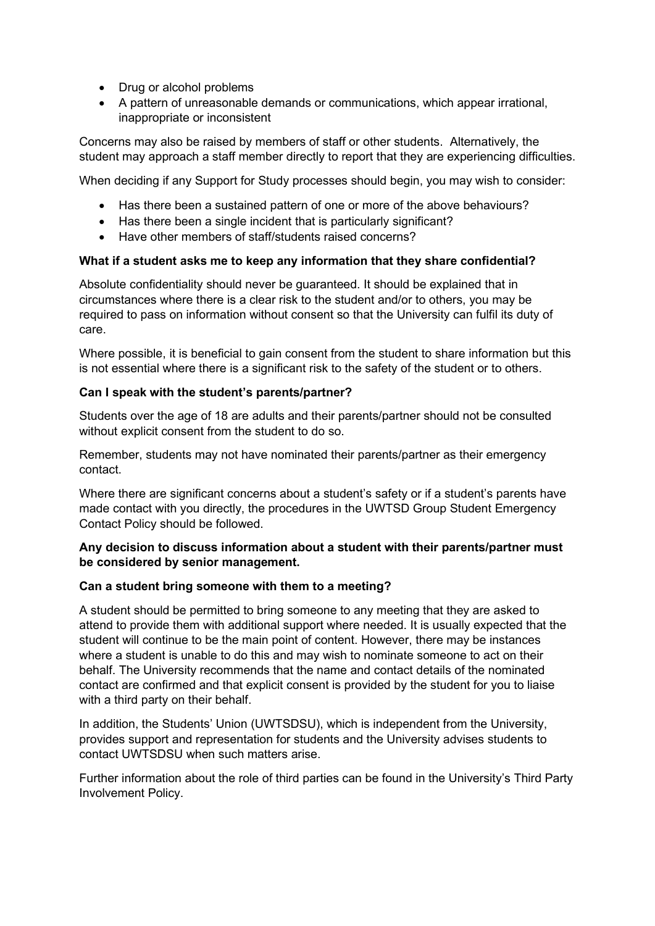- Drug or alcohol problems
- A pattern of unreasonable demands or communications, which appear irrational, inappropriate or inconsistent

Concerns may also be raised by members of staff or other students. Alternatively, the student may approach a staff member directly to report that they are experiencing difficulties.

When deciding if any Support for Study processes should begin, you may wish to consider:

- Has there been a sustained pattern of one or more of the above behaviours?
- Has there been a single incident that is particularly significant?
- Have other members of staff/students raised concerns?

## **What if a student asks me to keep any information that they share confidential?**

Absolute confidentiality should never be guaranteed. It should be explained that in circumstances where there is a clear risk to the student and/or to others, you may be required to pass on information without consent so that the University can fulfil its duty of care.

Where possible, it is beneficial to gain consent from the student to share information but this is not essential where there is a significant risk to the safety of the student or to others.

#### **Can I speak with the student's parents/partner?**

Students over the age of 18 are adults and their parents/partner should not be consulted without explicit consent from the student to do so.

Remember, students may not have nominated their parents/partner as their emergency contact.

Where there are significant concerns about a student's safety or if a student's parents have made contact with you directly, the procedures in the UWTSD Group Student Emergency Contact Policy should be followed.

## **Any decision to discuss information about a student with their parents/partner must be considered by senior management.**

#### **Can a student bring someone with them to a meeting?**

A student should be permitted to bring someone to any meeting that they are asked to attend to provide them with additional support where needed. It is usually expected that the student will continue to be the main point of content. However, there may be instances where a student is unable to do this and may wish to nominate someone to act on their behalf. The University recommends that the name and contact details of the nominated contact are confirmed and that explicit consent is provided by the student for you to liaise with a third party on their behalf.

In addition, the Students' Union (UWTSDSU), which is independent from the University, provides support and representation for students and the University advises students to contact UWTSDSU when such matters arise.

Further information about the role of third parties can be found in the University's Third Party Involvement Policy.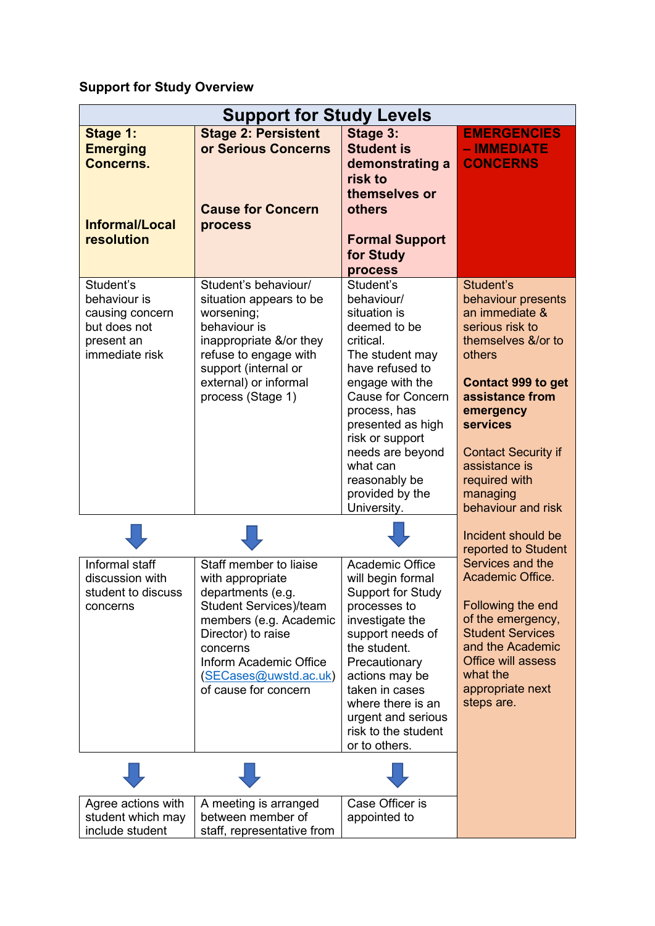# **Support for Study Overview**

| <b>Support for Study Levels</b>                                                              |                                                                                                                                                                                                                                         |                                                                                                                                                                                                                                                                                                                 |                                                                                                                                                                                                                                                                                        |
|----------------------------------------------------------------------------------------------|-----------------------------------------------------------------------------------------------------------------------------------------------------------------------------------------------------------------------------------------|-----------------------------------------------------------------------------------------------------------------------------------------------------------------------------------------------------------------------------------------------------------------------------------------------------------------|----------------------------------------------------------------------------------------------------------------------------------------------------------------------------------------------------------------------------------------------------------------------------------------|
| Stage 1:<br><b>Emerging</b><br><b>Concerns.</b><br>Informal/Local                            | <b>Stage 2: Persistent</b><br>or Serious Concerns<br><b>Cause for Concern</b><br>process                                                                                                                                                | Stage 3:<br><b>Student is</b><br>demonstrating a<br>risk to<br>themselves or<br>others                                                                                                                                                                                                                          | <b>EMERGENCIES</b><br>- IMMEDIATE<br><b>CONCERNS</b>                                                                                                                                                                                                                                   |
| resolution                                                                                   |                                                                                                                                                                                                                                         | <b>Formal Support</b><br>for Study                                                                                                                                                                                                                                                                              |                                                                                                                                                                                                                                                                                        |
| Student's<br>behaviour is<br>causing concern<br>but does not<br>present an<br>immediate risk | Student's behaviour/<br>situation appears to be<br>worsening;<br>behaviour is<br>inappropriate &/or they<br>refuse to engage with<br>support (internal or<br>external) or informal<br>process (Stage 1)                                 | process<br>Student's<br>behaviour/<br>situation is<br>deemed to be<br>critical.<br>The student may<br>have refused to<br>engage with the<br><b>Cause for Concern</b><br>process, has<br>presented as high<br>risk or support<br>needs are beyond<br>what can<br>reasonably be<br>provided by the<br>University. | Student's<br>behaviour presents<br>an immediate &<br>serious risk to<br>themselves &/or to<br>others<br><b>Contact 999 to get</b><br>assistance from<br>emergency<br><b>services</b><br><b>Contact Security if</b><br>assistance is<br>required with<br>managing<br>behaviour and risk |
|                                                                                              |                                                                                                                                                                                                                                         |                                                                                                                                                                                                                                                                                                                 | Incident should be<br>reported to Student                                                                                                                                                                                                                                              |
| Informal staff<br>discussion with<br>student to discuss<br>concerns                          | Staff member to liaise<br>with appropriate<br>departments (e.g.<br><b>Student Services)/team</b><br>members (e.g. Academic<br>Director) to raise<br>concerns<br>Inform Academic Office<br>(SECases@uwstd.ac.uk)<br>of cause for concern | Academic Office<br>will begin formal<br><b>Support for Study</b><br>processes to<br>investigate the<br>support needs of<br>the student.<br>Precautionary<br>actions may be<br>taken in cases<br>where there is an<br>urgent and serious<br>risk to the student<br>or to others.                                 | Services and the<br>Academic Office.<br>Following the end<br>of the emergency,<br><b>Student Services</b><br>and the Academic<br><b>Office will assess</b><br>what the<br>appropriate next<br>steps are.                                                                               |
|                                                                                              |                                                                                                                                                                                                                                         |                                                                                                                                                                                                                                                                                                                 |                                                                                                                                                                                                                                                                                        |
| Agree actions with<br>student which may<br>include student                                   | A meeting is arranged<br>between member of<br>staff, representative from                                                                                                                                                                | Case Officer is<br>appointed to                                                                                                                                                                                                                                                                                 |                                                                                                                                                                                                                                                                                        |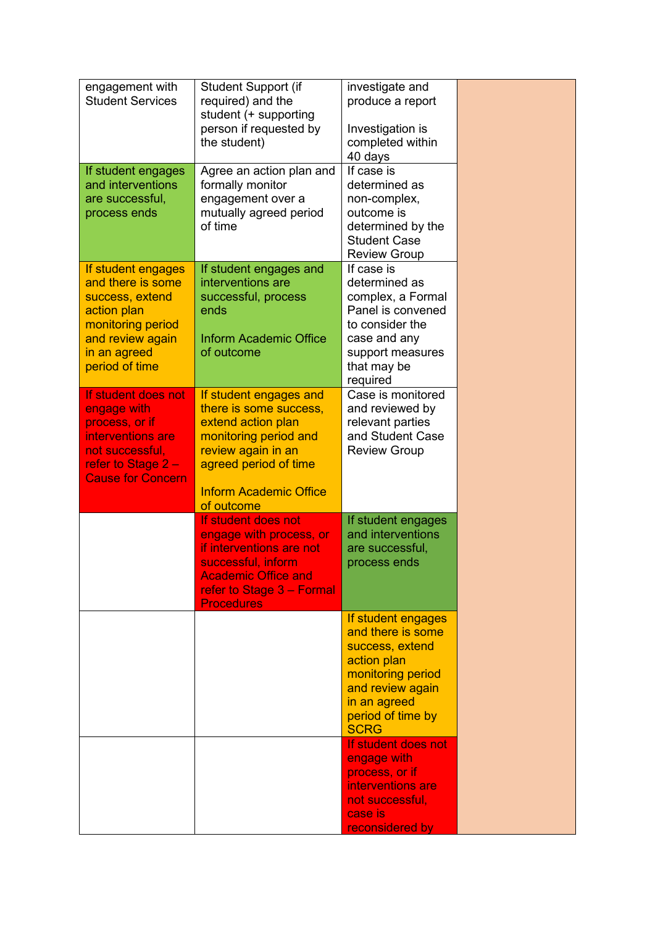| engagement with<br><b>Student Services</b><br>If student engages                                                                                     | Student Support (if<br>required) and the<br>student (+ supporting<br>person if requested by<br>the student)<br>Agree an action plan and                                                       | investigate and<br>produce a report<br>Investigation is<br>completed within<br>40 days<br>If case is                                                                   |  |
|------------------------------------------------------------------------------------------------------------------------------------------------------|-----------------------------------------------------------------------------------------------------------------------------------------------------------------------------------------------|------------------------------------------------------------------------------------------------------------------------------------------------------------------------|--|
| and interventions<br>are successful,<br>process ends                                                                                                 | formally monitor<br>engagement over a<br>mutually agreed period<br>of time                                                                                                                    | determined as<br>non-complex,<br>outcome is<br>determined by the<br><b>Student Case</b><br><b>Review Group</b>                                                         |  |
| If student engages<br>and there is some<br>success, extend<br>action plan<br>monitoring period<br>and review again<br>in an agreed<br>period of time | If student engages and<br>interventions are<br>successful, process<br>ends<br><b>Inform Academic Office</b><br>of outcome                                                                     | If case is<br>determined as<br>complex, a Formal<br>Panel is convened<br>to consider the<br>case and any<br>support measures<br>that may be<br>required                |  |
| If student does not<br>engage with<br>process, or if<br>interventions are<br>not successful,<br>refer to Stage 2 -<br><b>Cause for Concern</b>       | If student engages and<br>there is some success,<br>extend action plan<br>monitoring period and<br>review again in an<br>agreed period of time<br><b>Inform Academic Office</b><br>of outcome | Case is monitored<br>and reviewed by<br>relevant parties<br>and Student Case<br><b>Review Group</b>                                                                    |  |
|                                                                                                                                                      | If student does not<br>engage with process, or<br>if interventions are not<br>successful, inform<br><b>Academic Office and</b><br>refer to Stage 3 - Formal<br><b>Procedures</b>              | If student engages<br>and interventions<br>are successful,<br>process ends                                                                                             |  |
|                                                                                                                                                      |                                                                                                                                                                                               | If student engages<br>and there is some<br>success, extend<br>action plan<br>monitoring period<br>and review again<br>in an agreed<br>period of time by<br><b>SCRG</b> |  |
|                                                                                                                                                      |                                                                                                                                                                                               | If student does not<br>engage with<br>process, or if<br>interventions are<br>not successful,<br>case is<br>reconsidered by                                             |  |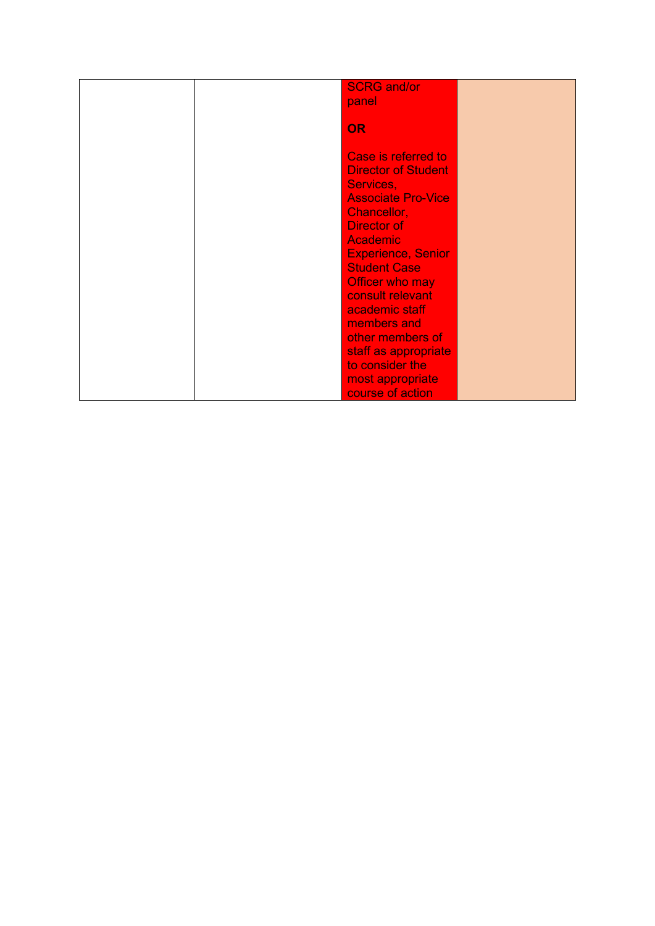|  | <b>SCRG and/or</b>         |  |
|--|----------------------------|--|
|  | panel                      |  |
|  |                            |  |
|  | <b>OR</b>                  |  |
|  |                            |  |
|  | Case is referred to        |  |
|  | <b>Director of Student</b> |  |
|  | Services,                  |  |
|  | <b>Associate Pro-Vice</b>  |  |
|  |                            |  |
|  | Chancellor,                |  |
|  | <b>Director of</b>         |  |
|  | <b>Academic</b>            |  |
|  | <b>Experience, Senior</b>  |  |
|  | <b>Student Case</b>        |  |
|  | Officer who may            |  |
|  | consult relevant           |  |
|  | academic staff             |  |
|  | members and                |  |
|  | other members of           |  |
|  | staff as appropriate       |  |
|  | to consider the            |  |
|  |                            |  |
|  | most appropriate           |  |
|  | course of action           |  |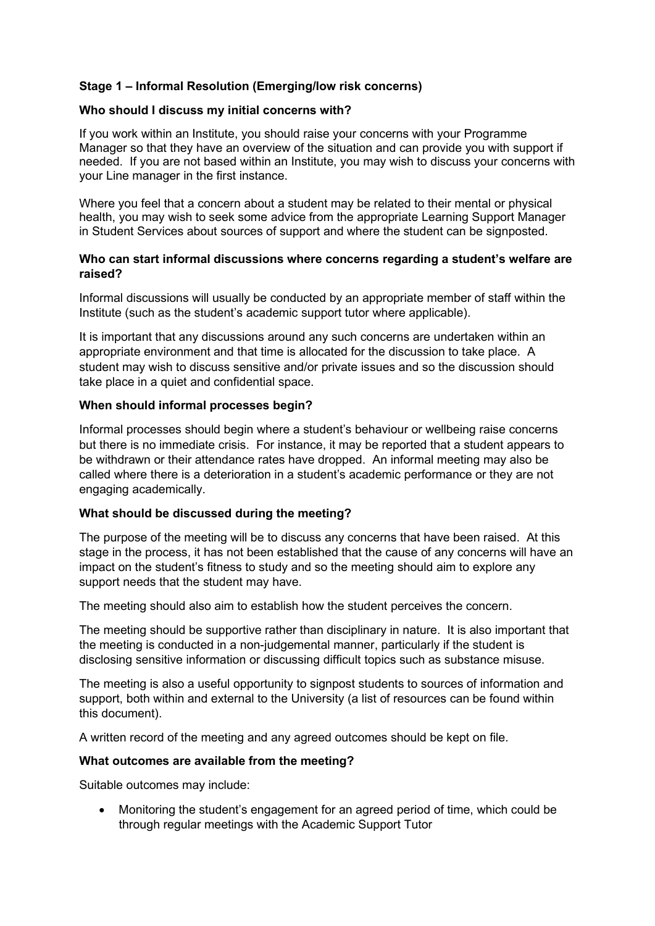## **Stage 1 – Informal Resolution (Emerging/low risk concerns)**

#### **Who should I discuss my initial concerns with?**

If you work within an Institute, you should raise your concerns with your Programme Manager so that they have an overview of the situation and can provide you with support if needed. If you are not based within an Institute, you may wish to discuss your concerns with your Line manager in the first instance.

Where you feel that a concern about a student may be related to their mental or physical health, you may wish to seek some advice from the appropriate Learning Support Manager in Student Services about sources of support and where the student can be signposted.

#### **Who can start informal discussions where concerns regarding a student's welfare are raised?**

Informal discussions will usually be conducted by an appropriate member of staff within the Institute (such as the student's academic support tutor where applicable).

It is important that any discussions around any such concerns are undertaken within an appropriate environment and that time is allocated for the discussion to take place. A student may wish to discuss sensitive and/or private issues and so the discussion should take place in a quiet and confidential space.

#### **When should informal processes begin?**

Informal processes should begin where a student's behaviour or wellbeing raise concerns but there is no immediate crisis. For instance, it may be reported that a student appears to be withdrawn or their attendance rates have dropped. An informal meeting may also be called where there is a deterioration in a student's academic performance or they are not engaging academically.

#### **What should be discussed during the meeting?**

The purpose of the meeting will be to discuss any concerns that have been raised. At this stage in the process, it has not been established that the cause of any concerns will have an impact on the student's fitness to study and so the meeting should aim to explore any support needs that the student may have.

The meeting should also aim to establish how the student perceives the concern.

The meeting should be supportive rather than disciplinary in nature. It is also important that the meeting is conducted in a non-judgemental manner, particularly if the student is disclosing sensitive information or discussing difficult topics such as substance misuse.

The meeting is also a useful opportunity to signpost students to sources of information and support, both within and external to the University (a list of resources can be found within this document).

A written record of the meeting and any agreed outcomes should be kept on file.

#### **What outcomes are available from the meeting?**

Suitable outcomes may include:

• Monitoring the student's engagement for an agreed period of time, which could be through regular meetings with the Academic Support Tutor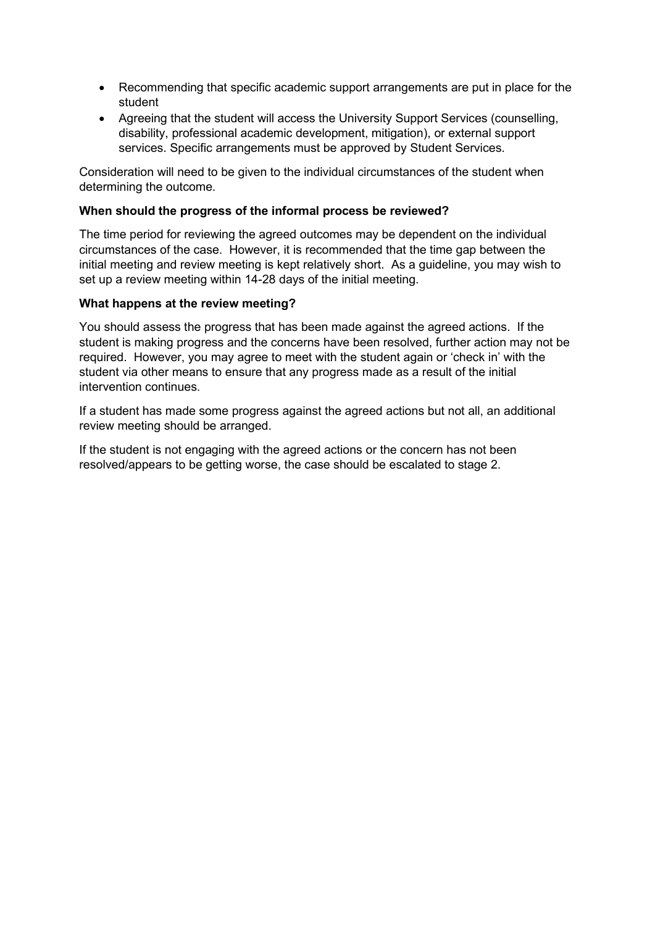- Recommending that specific academic support arrangements are put in place for the student
- Agreeing that the student will access the University Support Services (counselling, disability, professional academic development, mitigation), or external support services. Specific arrangements must be approved by Student Services.

Consideration will need to be given to the individual circumstances of the student when determining the outcome.

#### **When should the progress of the informal process be reviewed?**

The time period for reviewing the agreed outcomes may be dependent on the individual circumstances of the case. However, it is recommended that the time gap between the initial meeting and review meeting is kept relatively short. As a guideline, you may wish to set up a review meeting within 14-28 days of the initial meeting.

#### **What happens at the review meeting?**

You should assess the progress that has been made against the agreed actions. If the student is making progress and the concerns have been resolved, further action may not be required. However, you may agree to meet with the student again or 'check in' with the student via other means to ensure that any progress made as a result of the initial intervention continues.

If a student has made some progress against the agreed actions but not all, an additional review meeting should be arranged.

If the student is not engaging with the agreed actions or the concern has not been resolved/appears to be getting worse, the case should be escalated to stage 2.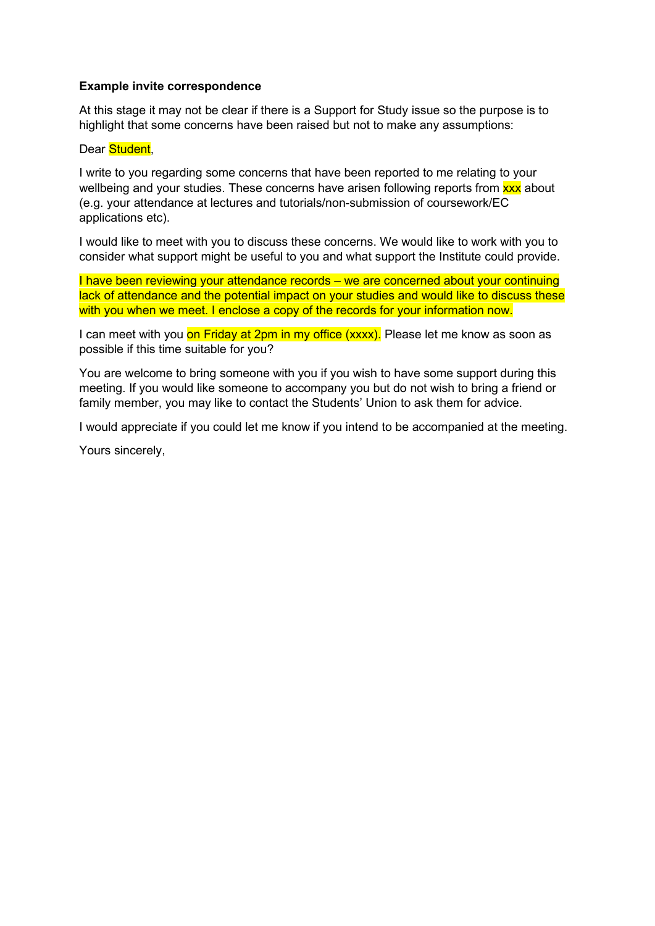#### **Example invite correspondence**

At this stage it may not be clear if there is a Support for Study issue so the purpose is to highlight that some concerns have been raised but not to make any assumptions:

#### Dear Student,

I write to you regarding some concerns that have been reported to me relating to your wellbeing and your studies. These concerns have arisen following reports from xxx about (e.g. your attendance at lectures and tutorials/non-submission of coursework/EC applications etc).

I would like to meet with you to discuss these concerns. We would like to work with you to consider what support might be useful to you and what support the Institute could provide.

I have been reviewing your attendance records – we are concerned about your continuing lack of attendance and the potential impact on your studies and would like to discuss these with you when we meet. I enclose a copy of the records for your information now.

I can meet with you on Friday at 2pm in my office (xxxx). Please let me know as soon as possible if this time suitable for you?

You are welcome to bring someone with you if you wish to have some support during this meeting. If you would like someone to accompany you but do not wish to bring a friend or family member, you may like to contact the Students' Union to ask them for advice.

I would appreciate if you could let me know if you intend to be accompanied at the meeting.

Yours sincerely,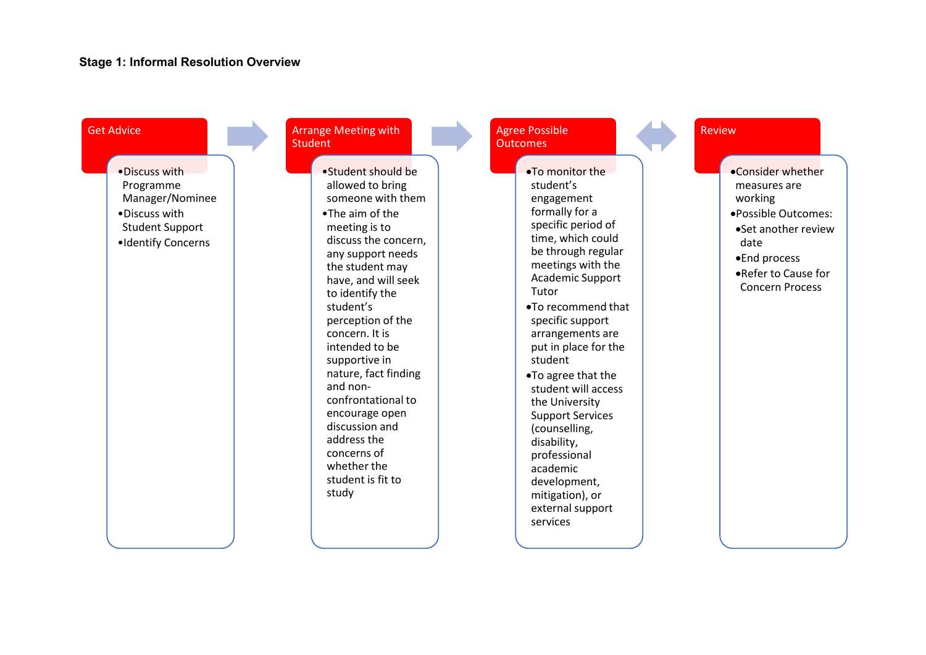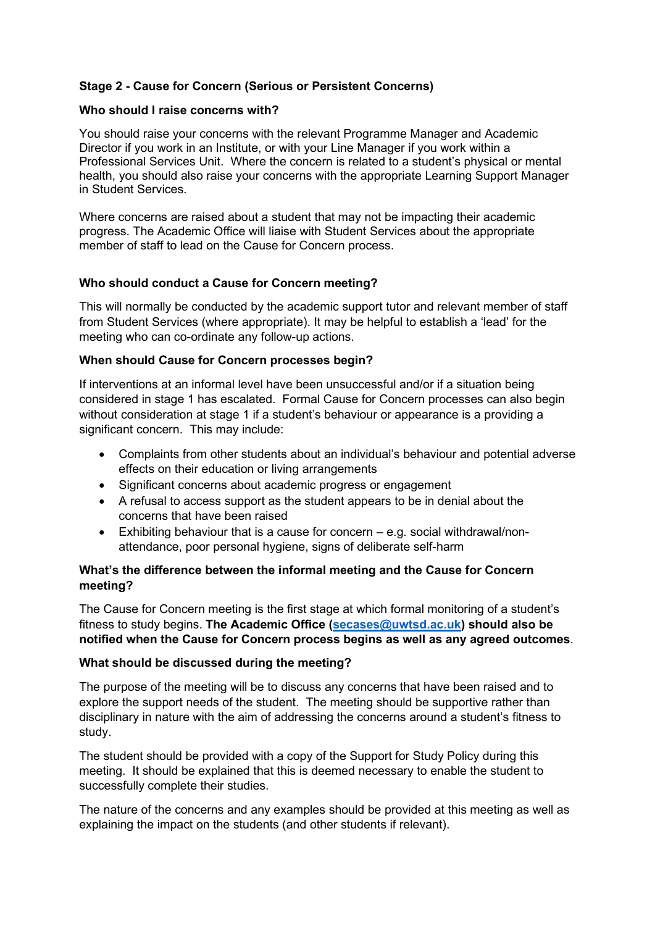# **Stage 2 - Cause for Concern (Serious or Persistent Concerns)**

#### **Who should I raise concerns with?**

You should raise your concerns with the relevant Programme Manager and Academic Director if you work in an Institute, or with your Line Manager if you work within a Professional Services Unit. Where the concern is related to a student's physical or mental health, you should also raise your concerns with the appropriate Learning Support Manager in Student Services.

Where concerns are raised about a student that may not be impacting their academic progress. The Academic Office will liaise with Student Services about the appropriate member of staff to lead on the Cause for Concern process.

#### **Who should conduct a Cause for Concern meeting?**

This will normally be conducted by the academic support tutor and relevant member of staff from Student Services (where appropriate). It may be helpful to establish a 'lead' for the meeting who can co-ordinate any follow-up actions.

#### **When should Cause for Concern processes begin?**

If interventions at an informal level have been unsuccessful and/or if a situation being considered in stage 1 has escalated. Formal Cause for Concern processes can also begin without consideration at stage 1 if a student's behaviour or appearance is a providing a significant concern. This may include:

- Complaints from other students about an individual's behaviour and potential adverse effects on their education or living arrangements
- Significant concerns about academic progress or engagement
- A refusal to access support as the student appears to be in denial about the concerns that have been raised
- Exhibiting behaviour that is a cause for concern e.g. social withdrawal/nonattendance, poor personal hygiene, signs of deliberate self-harm

## **What's the difference between the informal meeting and the Cause for Concern meeting?**

The Cause for Concern meeting is the first stage at which formal monitoring of a student's fitness to study begins. **The Academic Office [\(secases@uwtsd.ac.uk\)](mailto:secases@uwtsd.ac.uk) should also be notified when the Cause for Concern process begins as well as any agreed outcomes**.

#### **What should be discussed during the meeting?**

The purpose of the meeting will be to discuss any concerns that have been raised and to explore the support needs of the student. The meeting should be supportive rather than disciplinary in nature with the aim of addressing the concerns around a student's fitness to study.

The student should be provided with a copy of the Support for Study Policy during this meeting. It should be explained that this is deemed necessary to enable the student to successfully complete their studies.

The nature of the concerns and any examples should be provided at this meeting as well as explaining the impact on the students (and other students if relevant).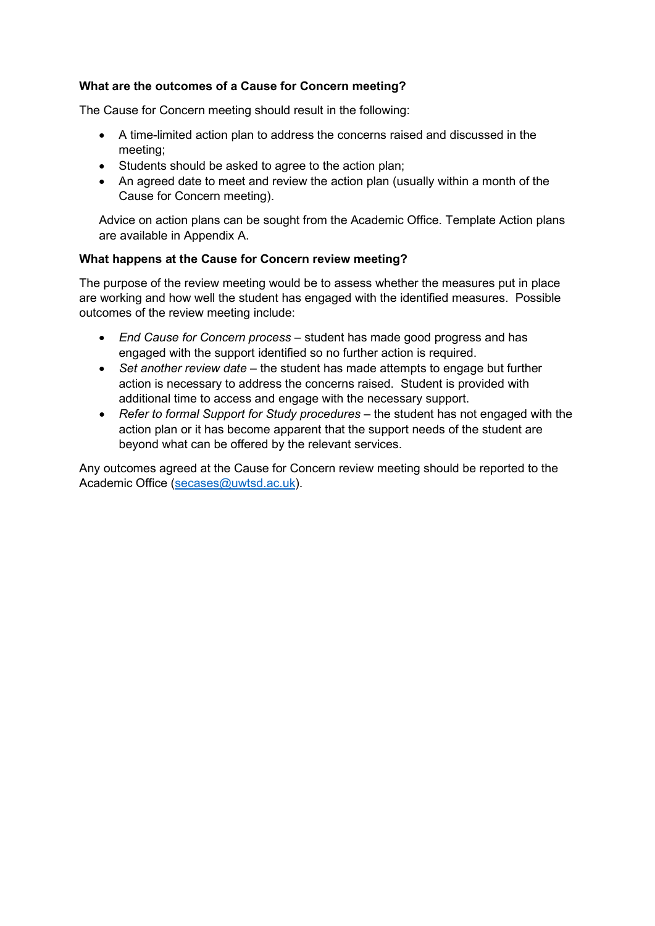## **What are the outcomes of a Cause for Concern meeting?**

The Cause for Concern meeting should result in the following:

- A time-limited action plan to address the concerns raised and discussed in the meeting;
- Students should be asked to agree to the action plan;
- An agreed date to meet and review the action plan (usually within a month of the Cause for Concern meeting).

Advice on action plans can be sought from the Academic Office. Template Action plans are available in Appendix A.

#### **What happens at the Cause for Concern review meeting?**

The purpose of the review meeting would be to assess whether the measures put in place are working and how well the student has engaged with the identified measures. Possible outcomes of the review meeting include:

- *End Cause for Concern process* student has made good progress and has engaged with the support identified so no further action is required.
- *Set another review date* the student has made attempts to engage but further action is necessary to address the concerns raised. Student is provided with additional time to access and engage with the necessary support.
- *Refer to formal Support for Study procedures* the student has not engaged with the action plan or it has become apparent that the support needs of the student are beyond what can be offered by the relevant services.

Any outcomes agreed at the Cause for Concern review meeting should be reported to the Academic Office [\(secases@uwtsd.ac.uk\)](mailto:secases@uwtsd.ac.uk).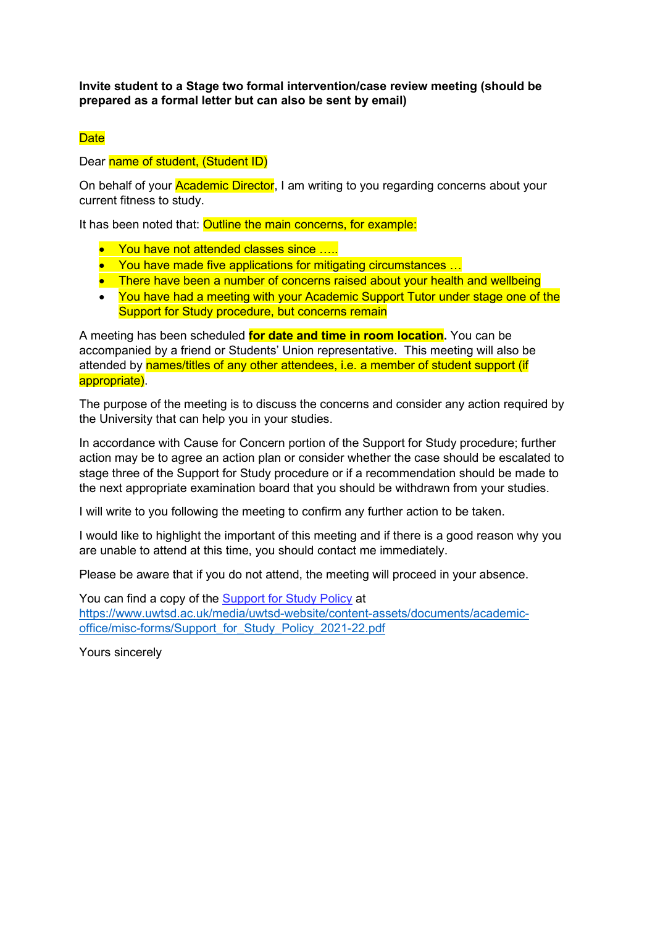**Invite student to a Stage two formal intervention/case review meeting (should be prepared as a formal letter but can also be sent by email)**

#### **Date**

#### Dear name of student, (Student ID)

On behalf of your **Academic Director**, I am writing to you regarding concerns about your current fitness to study.

It has been noted that: Outline the main concerns, for example:

- You have not attended classes since ....
- You have made five applications for mitigating circumstances ...
- There have been a number of concerns raised about your health and wellbeing
- You have had a meeting with your Academic Support Tutor under stage one of the Support for Study procedure, but concerns remain

A meeting has been scheduled **for date and time in room location.** You can be accompanied by a friend or Students' Union representative. This meeting will also be attended by names/titles of any other attendees, i.e. a member of student support (if appropriate).

The purpose of the meeting is to discuss the concerns and consider any action required by the University that can help you in your studies.

In accordance with Cause for Concern portion of the Support for Study procedure; further action may be to agree an action plan or consider whether the case should be escalated to stage three of the Support for Study procedure or if a recommendation should be made to the next appropriate examination board that you should be withdrawn from your studies.

I will write to you following the meeting to confirm any further action to be taken.

I would like to highlight the important of this meeting and if there is a good reason why you are unable to attend at this time, you should contact me immediately.

Please be aware that if you do not attend, the meeting will proceed in your absence.

You can find a copy of the [Support for Study Policy](https://www.uwtsd.ac.uk/media/uwtsd-website/content-assets/documents/academic-office/misc-forms/Support_for_Study_Policy_2021-22.pdf) at [https://www.uwtsd.ac.uk/media/uwtsd-website/content-assets/documents/academic](https://www.uwtsd.ac.uk/media/uwtsd-website/content-assets/documents/academic-office/misc-forms/Support_for_Study_Policy_2021-22.pdf)[office/misc-forms/Support\\_for\\_Study\\_Policy\\_2021-22.pdf](https://www.uwtsd.ac.uk/media/uwtsd-website/content-assets/documents/academic-office/misc-forms/Support_for_Study_Policy_2021-22.pdf)

Yours sincerely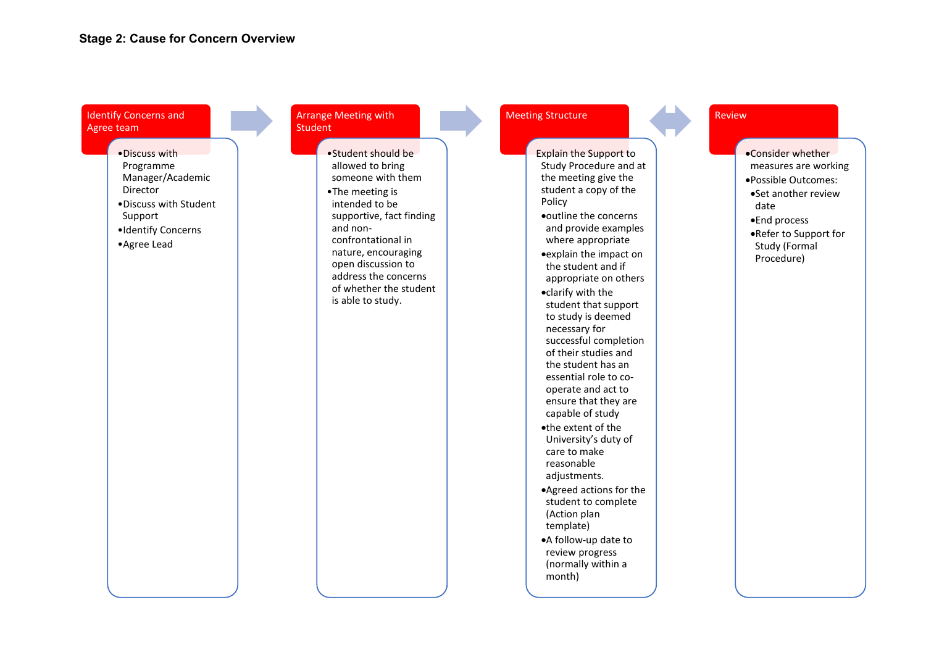Identify Concerns and Agree team

> •Discuss with Programme Manager/Academic Director •Discuss with Student Support •Identify Concerns •Agree Lead

#### Arrange Meeting with **Student**

•Student should be allowed to bring someone with them •The meeting is intended to be supportive, fact finding and nonconfrontational in nature, encouraging open discussion to address the concerns of whether the student is able to study.

#### Meeting Structure

Explain the Support to Study Procedure and at the meeting give the student a copy of the Policy •outline the concerns and provide examples where appropriate •explain the impact on the student and if appropriate on others •clarify with the student that support to study is deemed necessary for successful completion of their studies and the student has an essential role to cooperate and act to ensure that they are capable of study •the extent of the University's duty of care to make reasonable adjustments.

•Agreed actions for the student to complete (Action plan template)

•A follow-up date to review progress (normally within a month)

#### Review

- •Consider whether measures are working
- •Possible Outcomes:
- •Set another review date
- •End process
- •Refer to Support for Study (Formal Procedure)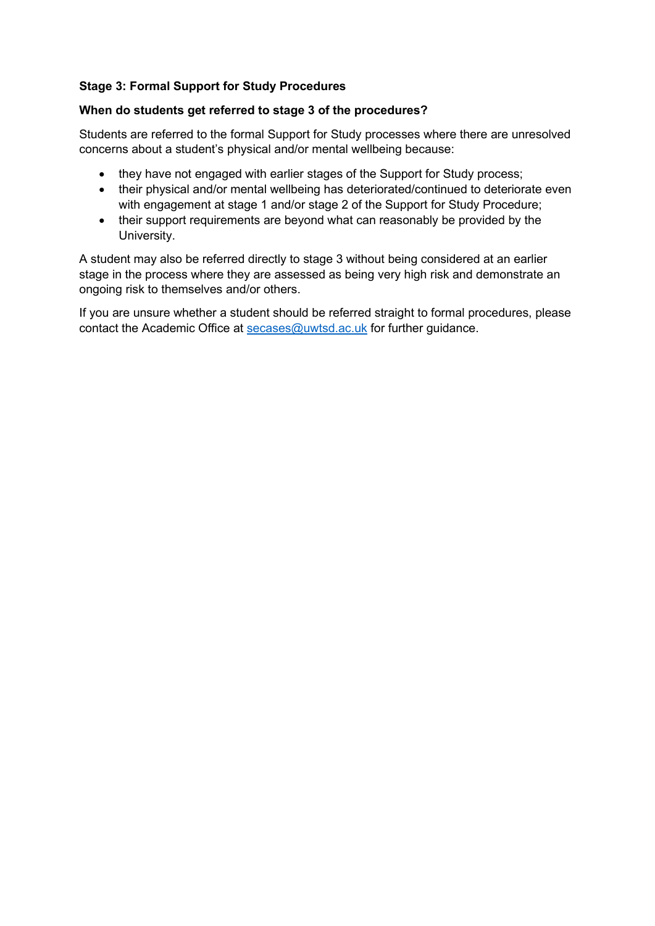# **Stage 3: Formal Support for Study Procedures**

#### **When do students get referred to stage 3 of the procedures?**

Students are referred to the formal Support for Study processes where there are unresolved concerns about a student's physical and/or mental wellbeing because:

- they have not engaged with earlier stages of the Support for Study process;
- their physical and/or mental wellbeing has deteriorated/continued to deteriorate even with engagement at stage 1 and/or stage 2 of the Support for Study Procedure;
- their support requirements are beyond what can reasonably be provided by the University.

A student may also be referred directly to stage 3 without being considered at an earlier stage in the process where they are assessed as being very high risk and demonstrate an ongoing risk to themselves and/or others.

If you are unsure whether a student should be referred straight to formal procedures, please contact the Academic Office at [secases@uwtsd.ac.uk](mailto:secases@uwtsd.ac.uk) for further guidance.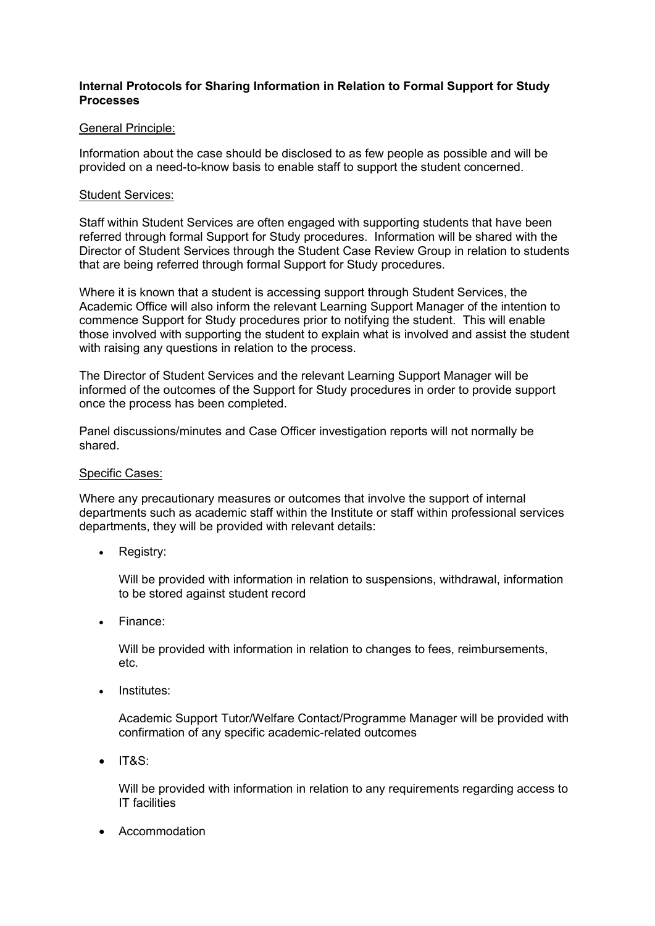#### **Internal Protocols for Sharing Information in Relation to Formal Support for Study Processes**

#### General Principle:

Information about the case should be disclosed to as few people as possible and will be provided on a need-to-know basis to enable staff to support the student concerned.

#### Student Services:

Staff within Student Services are often engaged with supporting students that have been referred through formal Support for Study procedures. Information will be shared with the Director of Student Services through the Student Case Review Group in relation to students that are being referred through formal Support for Study procedures.

Where it is known that a student is accessing support through Student Services, the Academic Office will also inform the relevant Learning Support Manager of the intention to commence Support for Study procedures prior to notifying the student. This will enable those involved with supporting the student to explain what is involved and assist the student with raising any questions in relation to the process.

The Director of Student Services and the relevant Learning Support Manager will be informed of the outcomes of the Support for Study procedures in order to provide support once the process has been completed.

Panel discussions/minutes and Case Officer investigation reports will not normally be shared.

#### Specific Cases:

Where any precautionary measures or outcomes that involve the support of internal departments such as academic staff within the Institute or staff within professional services departments, they will be provided with relevant details:

• Registry:

Will be provided with information in relation to suspensions, withdrawal, information to be stored against student record

• Finance:

Will be provided with information in relation to changes to fees, reimbursements, etc.

• Institutes:

Academic Support Tutor/Welfare Contact/Programme Manager will be provided with confirmation of any specific academic-related outcomes

• IT&S:

Will be provided with information in relation to any requirements regarding access to IT facilities

• Accommodation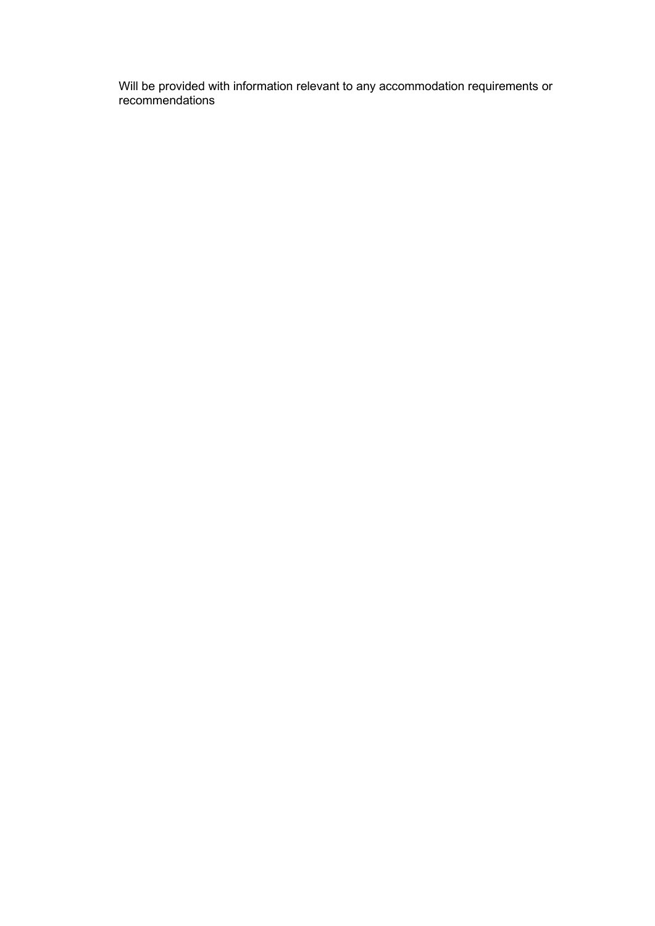Will be provided with information relevant to any accommodation requirements or recommendations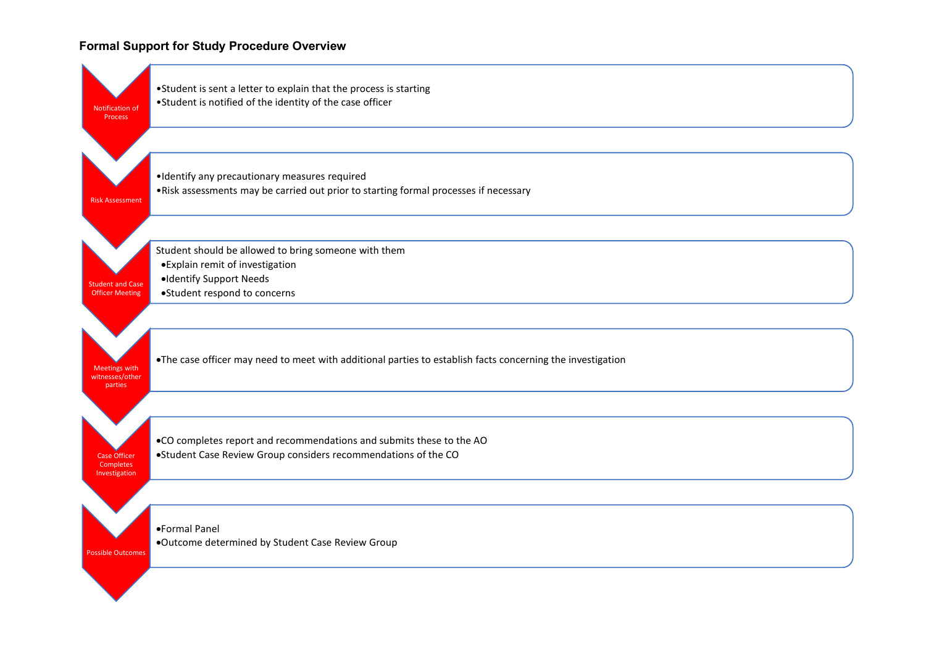#### **Formal Support for Study Procedure Overview**

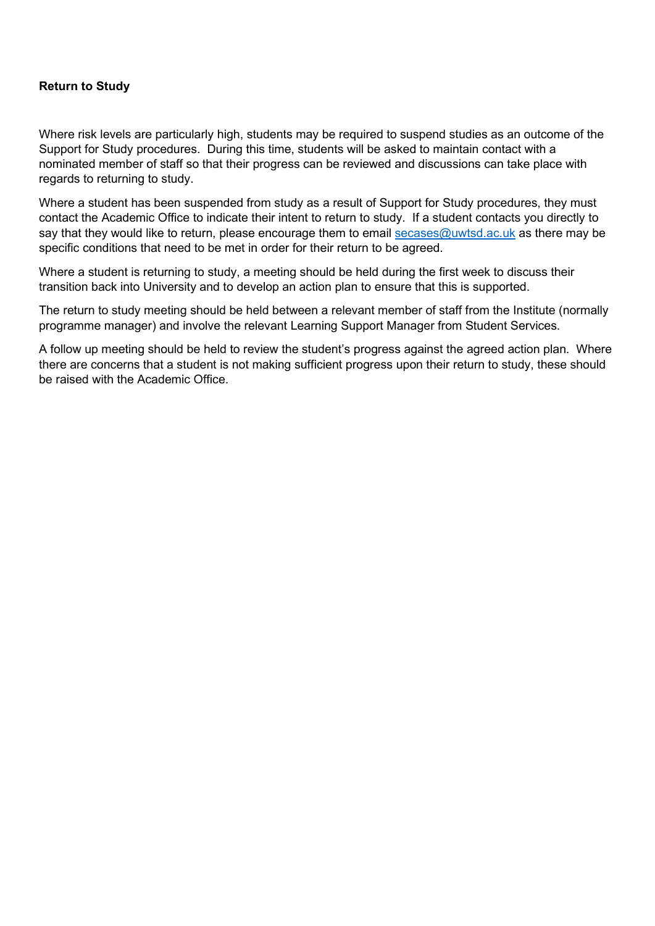#### **Return to Study**

Where risk levels are particularly high, students may be required to suspend studies as an outcome of the Support for Study procedures. During this time, students will be asked to maintain contact with a nominated member of staff so that their progress can be reviewed and discussions can take place with regards to returning to study.

Where a student has been suspended from study as a result of Support for Study procedures, they must contact the Academic Office to indicate their intent to return to study. If a student contacts you directly to say that they would like to return, please encourage them to email [secases@uwtsd.ac.uk](mailto:secases@uwtsd.ac.uk) as there may be specific conditions that need to be met in order for their return to be agreed.

Where a student is returning to study, a meeting should be held during the first week to discuss their transition back into University and to develop an action plan to ensure that this is supported.

The return to study meeting should be held between a relevant member of staff from the Institute (normally programme manager) and involve the relevant Learning Support Manager from Student Services.

A follow up meeting should be held to review the student's progress against the agreed action plan. Where there are concerns that a student is not making sufficient progress upon their return to study, these should be raised with the Academic Office.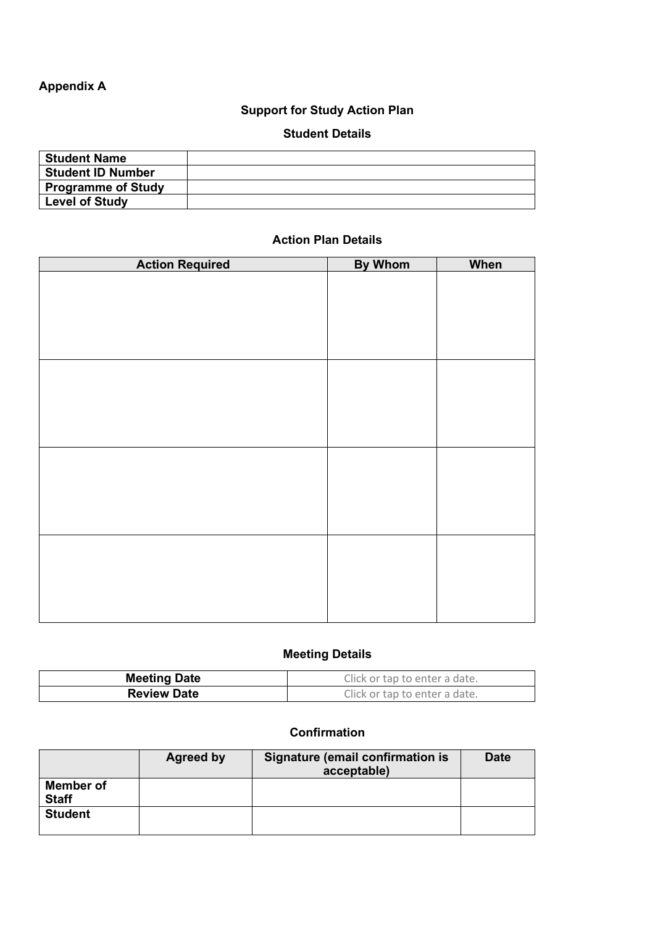# **Appendix A**

# **Support for Study Action Plan**

# **Student Details**

# **Action Plan Details**

| <b>Action Required</b> | <b>By Whom</b> | When |
|------------------------|----------------|------|
|                        |                |      |
|                        |                |      |
|                        |                |      |
|                        |                |      |
|                        |                |      |
|                        |                |      |
|                        |                |      |
|                        |                |      |
|                        |                |      |
|                        |                |      |
|                        |                |      |
|                        |                |      |
|                        |                |      |
|                        |                |      |
|                        |                |      |
|                        |                |      |
|                        |                |      |
|                        |                |      |
|                        |                |      |
|                        |                |      |
|                        |                |      |

# **Meeting Details**

| <b>Meeting Date</b> | Click or tap to enter a date. |
|---------------------|-------------------------------|
| <b>Review Date</b>  | Click or tap to enter a date. |

# **Confirmation**

|                                  | Agreed by | Signature (email confirmation is<br>acceptable) | <b>Date</b> |
|----------------------------------|-----------|-------------------------------------------------|-------------|
| <b>Member of</b><br><b>Staff</b> |           |                                                 |             |
| <b>Student</b>                   |           |                                                 |             |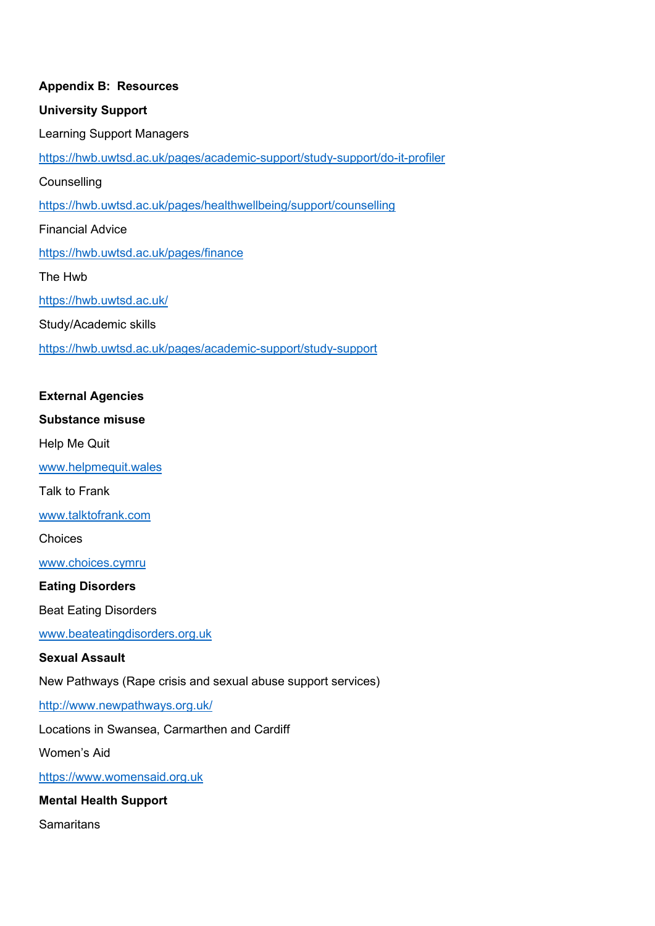# **Appendix B: Resources University Support** Learning Support Managers <https://hwb.uwtsd.ac.uk/pages/academic-support/study-support/do-it-profiler> **Counselling** <https://hwb.uwtsd.ac.uk/pages/healthwellbeing/support/counselling> Financial Advice <https://hwb.uwtsd.ac.uk/pages/finance> The Hwb <https://hwb.uwtsd.ac.uk/> Study/Academic skills <https://hwb.uwtsd.ac.uk/pages/academic-support/study-support>

# **External Agencies**

#### **Substance misuse**

Help Me Quit

[www.helpmequit.wales](http://www.helpmequit.wales/)

Talk to Frank

[www.talktofrank.com](http://www.talktofrank.com/)

Choices

[www.choices.cymru](http://www.choices.cymru/)

#### **Eating Disorders**

Beat Eating Disorders

[www.beateatingdisorders.org.uk](http://www.beateatingdisorders.org.uk/)

#### **Sexual Assault**

New Pathways (Rape crisis and sexual abuse support services)

<http://www.newpathways.org.uk/>

Locations in Swansea, Carmarthen and Cardiff

Women's Aid

[https://www.womensaid.org.uk](https://www.womensaid.org.uk/)

**Mental Health Support**

**Samaritans**